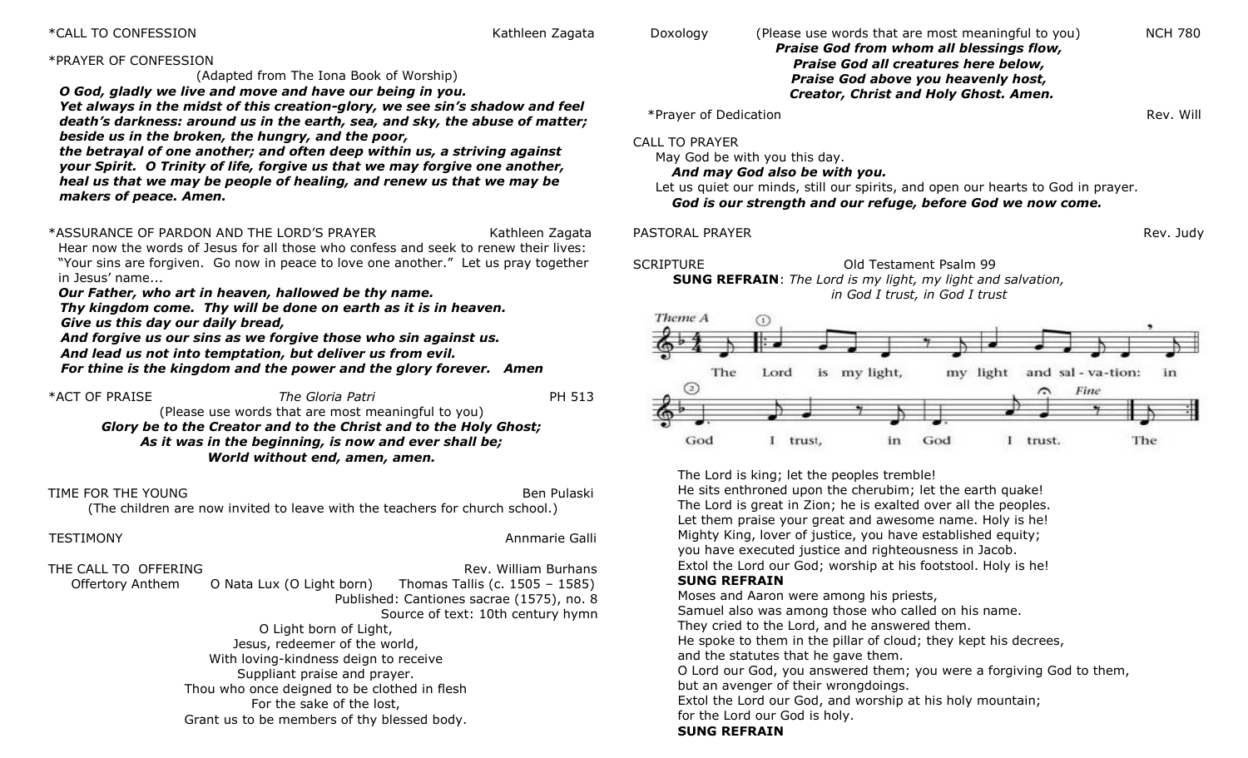### \*CALL TO CONFESSION NATURE AND THE SERVICE SERVICE SERVICE SERVICE SERVICE SERVICE SERVICE SERVICE SERVICE SERVICE SERVICE SERVICE SERVICE SERVICE SERVICE SERVICE SERVICE SERVICE SERVICE SERVICE SERVICE SERVICE SERVICE SER

Doxology (Please use words that are most meaningful to you) NCH 780

### \*PRAYER OF CONFESSION

(Adapted from The Iona Book of Worship)

*O God, gladly we live and move and have our being in you.* 

*Yet always in the midst of this creation-glory, we see sin's shadow and feel death's darkness: around us in the earth, sea, and sky, the abuse of matter; beside us in the broken, the hungry, and the poor,* 

*the betrayal of one another; and often deep within us, a striving against your Spirit. O Trinity of life, forgive us that we may forgive one another, heal us that we may be people of healing, and renew us that we may be makers of peace. Amen.*

\*ASSURANCE OF PARDON AND THE LORD'S PRAYER THE THAND THE STATH RATHLEER TAGGATA

Hear now the words of Jesus for all those who confess and seek to renew their lives: "Your sins are forgiven. Go now in peace to love one another." Let us pray together in Jesus' name...

*Our Father, who art in heaven, hallowed be thy name.*

 *Thy kingdom come. Thy will be done on earth as it is in heaven. Give us this day our daily bread,*

 *And forgive us our sins as we forgive those who sin against us. And lead us not into temptation, but deliver us from evil.*

 *For thine is the kingdom and the power and the glory forever. Amen*

\*ACT OF PRAISE *The Gloria Patri* PH 513 (Please use words that are most meaningful to you) *Glory be to the Creator and to the Christ and to the Holy Ghost; As it was in the beginning, is now and ever shall be; World without end, amen, amen.*

TIME FOR THE YOUNG Ben Pulaski

### (The children are now invited to leave with the teachers for church school.)

TESTIMONY Annmarie Galli

| THE CALL TO OFFERING                  |                                              | Rev. William Burhans                      |  |  |
|---------------------------------------|----------------------------------------------|-------------------------------------------|--|--|
| Offertory Anthem                      | O Nata Lux (O Light born)                    | Thomas Tallis (c. 1505 - 1585)            |  |  |
|                                       |                                              | Published: Cantiones sacrae (1575), no. 8 |  |  |
|                                       |                                              | Source of text: 10th century hymn         |  |  |
| O Light born of Light,                |                                              |                                           |  |  |
| Jesus, redeemer of the world,         |                                              |                                           |  |  |
| With loving-kindness deign to receive |                                              |                                           |  |  |
|                                       | Suppliant praise and prayer.                 |                                           |  |  |
|                                       | Thou who once deigned to be clothed in flesh |                                           |  |  |
|                                       | For the sake of the lost,                    |                                           |  |  |
|                                       | Grant us to be members of thy blessed body.  |                                           |  |  |

| <b>Praise God from whom all blessings flow,</b><br>Praise God all creatures here below,<br>Praise God above you heavenly host,<br>Creator, Christ and Holy Ghost. Amen.                                                             |           |
|-------------------------------------------------------------------------------------------------------------------------------------------------------------------------------------------------------------------------------------|-----------|
| *Prayer of Dedication                                                                                                                                                                                                               | Rev. Will |
| CALL TO PRAYER<br>May God be with you this day.<br>And may God also be with you.<br>Let us quiet our minds, still our spirits, and open our hearts to God in prayer.<br>God is our strength and our refuge, before God we now come. |           |
| PASTORAL PRAYER                                                                                                                                                                                                                     | Rev. Judy |
| SCRIPTURE<br>Old Testament Psalm 99<br><b>SUNG REFRAIN:</b> The Lord is my light, my light and salvation,<br>in God I trust, in God I trust                                                                                         |           |
| Theme A<br>The<br>is my light,<br>my light and sal - va-tion:<br>Lord<br>$\overline{2}$<br>Fine                                                                                                                                     | in        |
| God<br>God<br>trust.<br>in<br>trust,                                                                                                                                                                                                | The       |

The Lord is king; let the peoples tremble!

He sits enthroned upon the cherubim; let the earth quake! The Lord is great in Zion; he is exalted over all the peoples. Let them praise your great and awesome name. Holy is he! Mighty King, lover of justice, you have established equity; you have executed justice and righteousness in Jacob. Extol the Lord our God; worship at his footstool. Holy is he! **SUNG REFRAIN**

## Moses and Aaron were among his priests,

Samuel also was among those who called on his name. They cried to the Lord, and he answered them.

He spoke to them in the pillar of cloud; they kept his decrees, and the statutes that he gave them.

O Lord our God, you answered them; you were a forgiving God to them, but an avenger of their wrongdoings.

Extol the Lord our God, and worship at his holy mountain;

for the Lord our God is holy.

### **SUNG REFRAIN**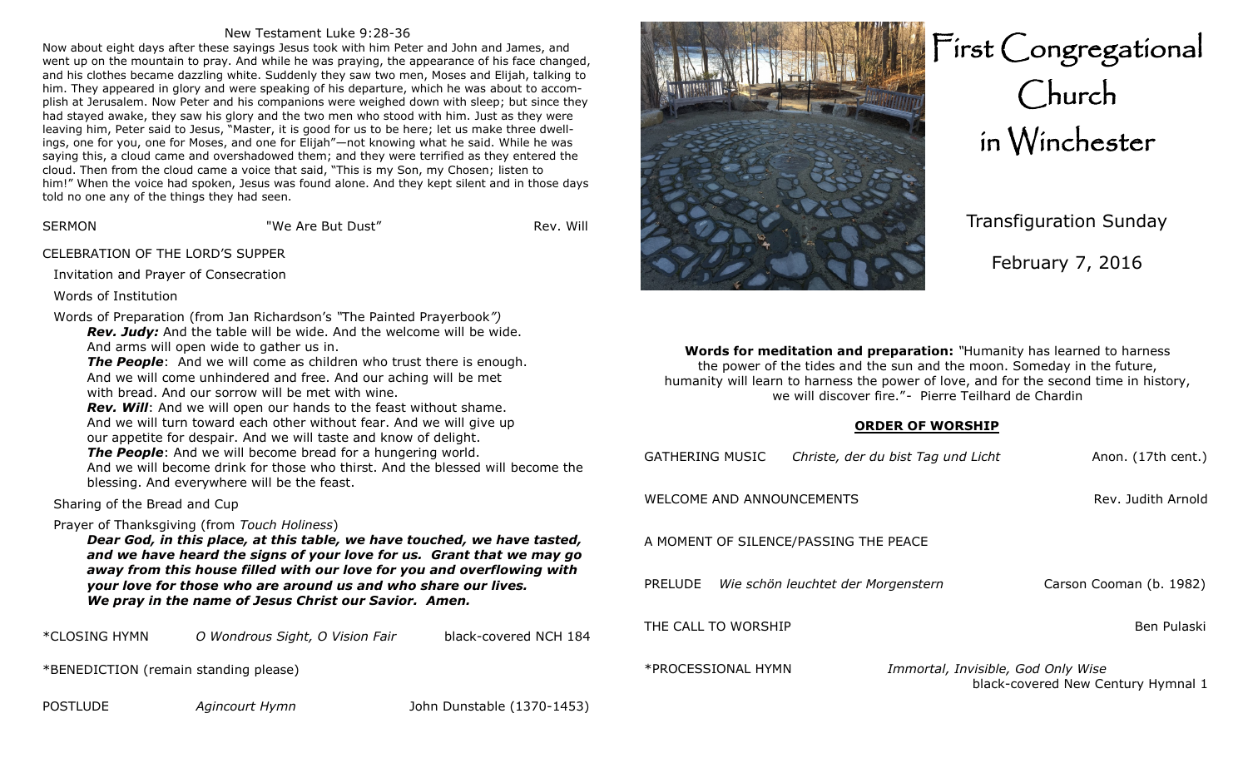### New Testament Luke 9:28-36

Now about eight days after these sayings Jesus took with him Peter and John and James, and went up on the mountain to pray. And while he was praying, the appearance of his face changed, and his clothes became dazzling white. Suddenly they saw two men, Moses and Elijah, talking to him. They appeared in glory and were speaking of his departure, which he was about to accomplish at Jerusalem. Now Peter and his companions were weighed down with sleep; but since they had stayed awake, they saw his glory and the two men who stood with him. Just as they were leaving him, Peter said to Jesus, "Master, it is good for us to be here; let us make three dwellings, one for you, one for Moses, and one for Elijah"—not knowing what he said. While he was saying this, a cloud came and overshadowed them; and they were terrified as they entered the cloud. Then from the cloud came a voice that said, "This is my Son, my Chosen; listen to him!" When the voice had spoken, Jesus was found alone. And they kept silent and in those days told no one any of the things they had seen.

SERMON "We Are But Dust" Rev. Will

CELEBRATION OF THE LORD'S SUPPER

Invitation and Prayer of Consecration

Words of Institution

Words of Preparation (from Jan Richardson's *"*The Painted Prayerbook*")*

*Rev. Judy:* And the table will be wide. And the welcome will be wide. And arms will open wide to gather us in.

**The People**: And we will come as children who trust there is enough. And we will come unhindered and free. And our aching will be met with bread. And our sorrow will be met with wine.

*Rev. Will*: And we will open our hands to the feast without shame. And we will turn toward each other without fear. And we will give up our appetite for despair. And we will taste and know of delight.

*The People*: And we will become bread for a hungering world.

And we will become drink for those who thirst. And the blessed will become the blessing. And everywhere will be the feast.

### Sharing of the Bread and Cup

### Prayer of Thanksgiving (from *Touch Holiness*)

*Dear God, in this place, at this table, we have touched, we have tasted, and we have heard the signs of your love for us. Grant that we may go away from this house filled with our love for you and overflowing with your love for those who are around us and who share our lives. We pray in the name of Jesus Christ our Savior. Amen.*

\*CLOSING HYMN *O Wondrous Sight, O Vision Fair* black-covered NCH 184

\*BENEDICTION (remain standing please)

POSTLUDE *Agincourt Hymn* John Dunstable (1370-1453)



# First Congregational Church in Winchester

Transfiguration Sunday

February 7, 2016

**Words for meditation and preparation:** *"*Humanity has learned to harness the power of the tides and the sun and the moon. Someday in the future, humanity will learn to harness the power of love, and for the second time in history, we will discover fire."*-* Pierre Teilhard de Chardin

### **ORDER OF WORSHIP**

| <b>GATHERING MUSIC</b>                | Christe, der du bist Tag und Licht | Anon. (17th cent.)                 |  |  |
|---------------------------------------|------------------------------------|------------------------------------|--|--|
| WELCOME AND ANNOUNCEMENTS             |                                    | Rev. Judith Arnold                 |  |  |
| A MOMENT OF SILENCE/PASSING THE PEACE |                                    |                                    |  |  |
| PRELUDE                               | Wie schön leuchtet der Morgenstern | Carson Cooman (b. 1982)            |  |  |
| Ben Pulaski<br>THE CALL TO WORSHIP    |                                    |                                    |  |  |
| *PROCESSIONAL HYMN                    | Immortal, Invisible, God Only Wise | black-covered New Century Hymnal 1 |  |  |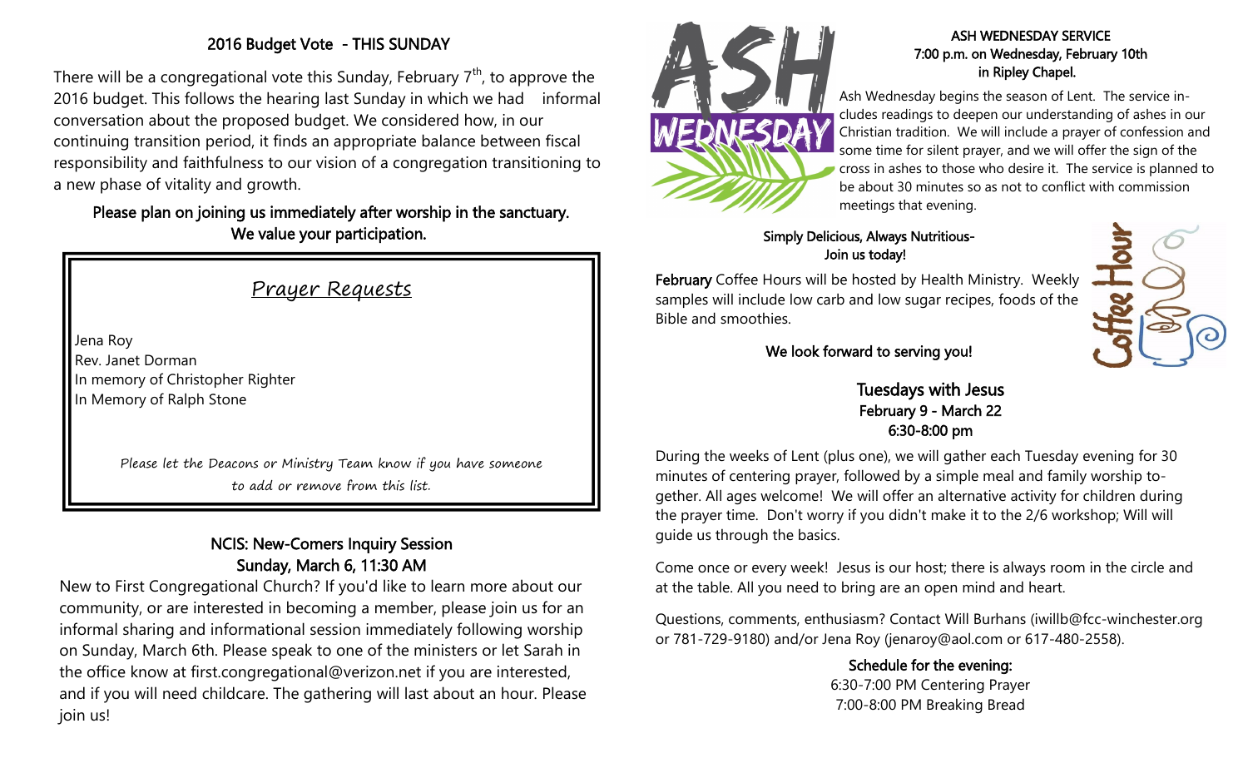# 2016 Budget Vote - THIS SUNDAY

There will be a congregational vote this Sunday, February  $7<sup>th</sup>$ , to approve the 2016 budget. This follows the hearing last Sunday in which we had informal conversation about the proposed budget. We considered how, in our continuing transition period, it finds an appropriate balance between fiscal responsibility and faithfulness to our vision of a congregation transitioning to a new phase of vitality and growth.

# Please plan on joining us immediately after worship in the sanctuary. We value your participation.

# Prayer Requests

Jena Roy Rev. Janet Dorman In memory of Christopher Righter In Memory of Ralph Stone

> Please let the Deacons or Ministry Team know if you have someone to add or remove from this list.

# NCIS: New-Comers Inquiry Session Sunday, March 6, 11:30 AM

New to First Congregational Church? If you'd like to learn more about our community, or are interested in becoming a member, please join us for an informal sharing and informational session immediately following worship on Sunday, March 6th. Please speak to one of the ministers or let Sarah in the office know at first.congregational@verizon.net if you are interested, and if you will need childcare. The gathering will last about an hour. Please join us!



### ASH WEDNESDAY SERVICE 7:00 p.m. on Wednesday, February 10th in Ripley Chapel.

Ash Wednesday begins the season of Lent. The service includes readings to deepen our understanding of ashes in our Christian tradition. We will include a prayer of confession and some time for silent prayer, and we will offer the sign of the cross in ashes to those who desire it. The service is planned to be about 30 minutes so as not to conflict with commission meetings that evening.

## Simply Delicious, Always Nutritious-Join us today!

February Coffee Hours will be hosted by Health Ministry. Weekly samples will include low carb and low sugar recipes, foods of the Bible and smoothies.



### We look forward to serving you!

Tuesdays with Jesus February 9 - March 22 6:30-8:00 pm

During the weeks of Lent (plus one), we will gather each Tuesday evening for 30 minutes of centering prayer, followed by a simple meal and family worship together. All ages welcome! We will offer an alternative activity for children during the prayer time. Don't worry if you didn't make it to the 2/6 workshop; Will will guide us through the basics.

Come once or every week! Jesus is our host; there is always room in the circle and at the table. All you need to bring are an open mind and heart.

Questions, comments, enthusiasm? Contact Will Burhans (iwillb@fcc-winchester.org or 781-729-9180) and/or Jena Roy (jenaroy@aol.com or 617-480-2558).

> Schedule for the evening: 6:30-7:00 PM Centering Prayer 7:00-8:00 PM Breaking Bread